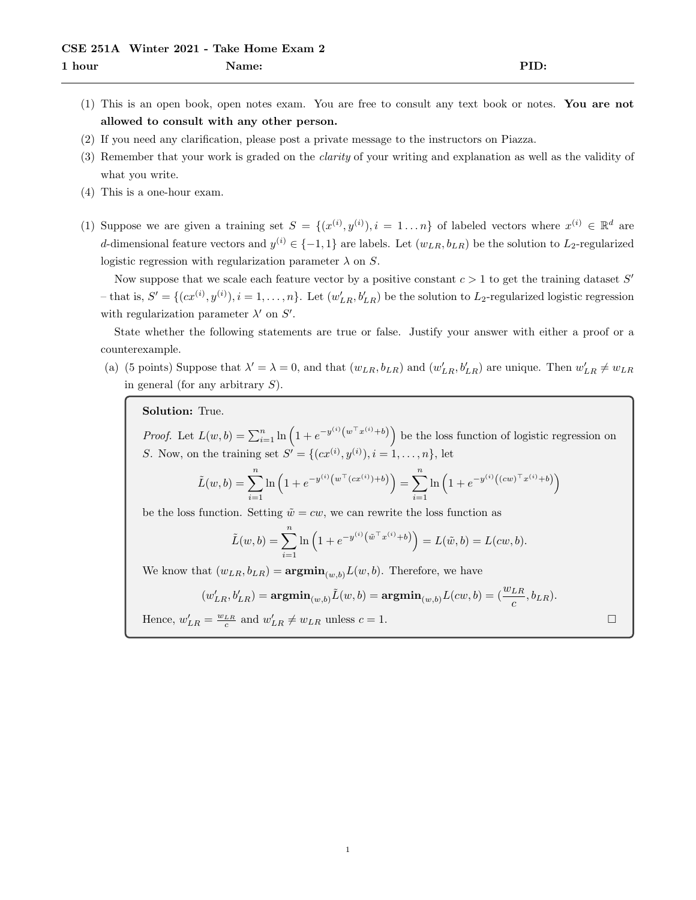- (1) This is an open book, open notes exam. You are free to consult any text book or notes. You are not allowed to consult with any other person.
- (2) If you need any clarification, please post a private message to the instructors on Piazza.
- (3) Remember that your work is graded on the clarity of your writing and explanation as well as the validity of what you write.
- (4) This is a one-hour exam.
- (1) Suppose we are given a training set  $S = \{(x^{(i)}, y^{(i)}), i = 1...n\}$  of labeled vectors where  $x^{(i)} \in \mathbb{R}^d$  are d-dimensional feature vectors and  $y^{(i)} \in \{-1,1\}$  are labels. Let  $(w_{LR}, b_{LR})$  be the solution to  $L_2$ -regularized logistic regression with regularization parameter  $\lambda$  on S.

Now suppose that we scale each feature vector by a positive constant  $c > 1$  to get the training dataset  $S'$ - that is,  $S' = \{(cx^{(i)}, y^{(i)}), i = 1, \ldots, n\}$ . Let  $(w'_{LR}, b'_{LR})$  be the solution to  $L_2$ -regularized logistic regression with regularization parameter  $\lambda'$  on  $S'$ .

State whether the following statements are true or false. Justify your answer with either a proof or a counterexample.

(a) (5 points) Suppose that  $\lambda' = \lambda = 0$ , and that  $(w_{LR}, b_{LR})$  and  $(w'_{LR}, b'_{LR})$  are unique. Then  $w'_{LR} \neq w_{LR}$ in general (for any arbitrary  $S$ ).

Solution: True.

*Proof.* Let  $L(w, b) = \sum_{i=1}^{n} \ln \left( 1 + e^{-y^{(i)}(w^{\top}x^{(i)} + b)} \right)$  be the loss function of logistic regression on S. Now, on the training set  $S' = \{(cx^{(i)}, y^{(i)}), i = 1, ..., n\},\$ let

$$
\tilde{L}(w, b) = \sum_{i=1}^{n} \ln \left( 1 + e^{-y^{(i)} \left( w^{\top} (cx^{(i)}) + b \right)} \right) = \sum_{i=1}^{n} \ln \left( 1 + e^{-y^{(i)} \left( (cw)^{\top} x^{(i)} + b \right)} \right)
$$

be the loss function. Setting  $\tilde{w} = cw$ , we can rewrite the loss function as

$$
\tilde{L}(w, b) = \sum_{i=1}^{n} \ln \left( 1 + e^{-y^{(i)} (\tilde{w}^\top x^{(i)} + b)} \right) = L(\tilde{w}, b) = L(cw, b).
$$

We know that  $(w_{LR}, b_{LR}) = \mathbf{argmin}_{(w, b)} L(w, b)$ . Therefore, we have

$$
(w'_{LR}, b'_{LR}) = \mathbf{argmin}_{(w, b)} \tilde{L}(w, b) = \mathbf{argmin}_{(w, b)} L(cw, b) = (\frac{w_{LR}}{c}, b_{LR}).
$$

Hence,  $w'_{LR} = \frac{w_{LR}}{c}$  and  $w'_{LR} \neq w_{LR}$  unless  $c = 1$ .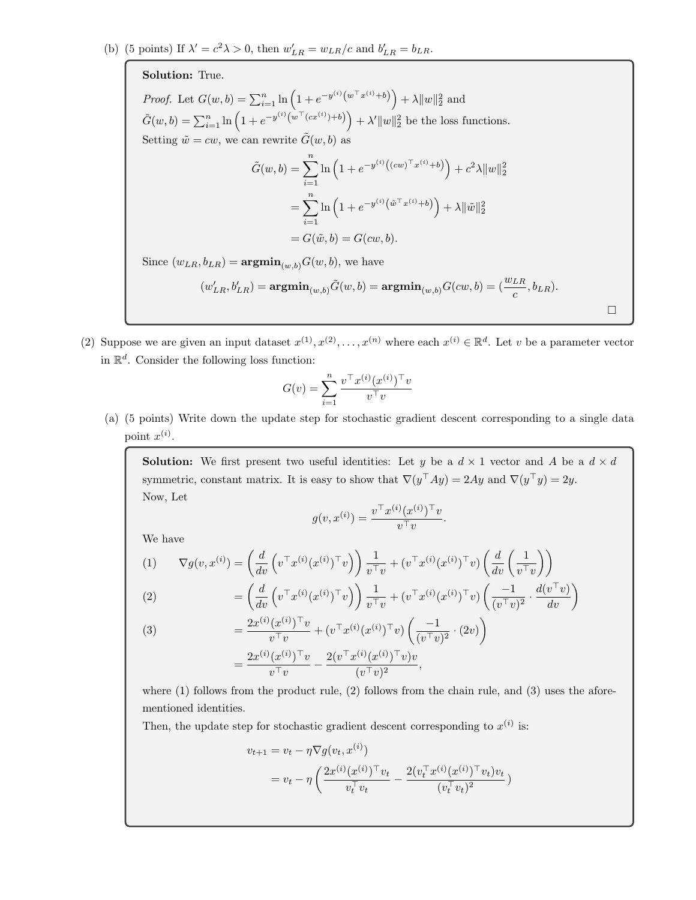Solution: True.

*Proof.* Let  $G(w, b) = \sum_{i=1}^{n} \ln(1 + e^{-y^{(i)}(w^{\top}x^{(i)} + b)}) + \lambda ||w||_2^2$  and  $\tilde{G}(w, b) = \sum_{i=1}^{n} \ln \left( 1 + e^{-y^{(i)}(w^{\top}(cx^{(i)}) + b)} \right) + \lambda' \|w\|_2^2$  be the loss functions. Setting  $\tilde{w} = cw$ , we can rewrite  $\tilde{G}(w, b)$  as

$$
\tilde{G}(w, b) = \sum_{i=1}^{n} \ln \left( 1 + e^{-y^{(i)} \left( (cw)^{\top} x^{(i)} + b \right)} \right) + c^2 \lambda \|w\|_2^2
$$

$$
= \sum_{i=1}^{n} \ln \left( 1 + e^{-y^{(i)} \left( \tilde{w}^{\top} x^{(i)} + b \right)} \right) + \lambda \| \tilde{w} \|_2^2
$$

$$
= G(\tilde{w}, b) = G(cw, b).
$$

Since  $(w_{LR}, b_{LR}) = \mathbf{argmin}_{(w, b)} G(w, b)$ , we have

$$
(w'_{LR},b'_{LR}) = \mathop{\rm argmin}_{(w,b)} \tilde{G}(w,b) = \mathop{\rm argmin}_{(w,b)} G(cw,b) = (\frac{w_{LR}}{c},b_{LR}).
$$

 $\Box$ 

(2) Suppose we are given an input dataset  $x^{(1)}, x^{(2)}, \ldots, x^{(n)}$  where each  $x^{(i)} \in \mathbb{R}^d$ . Let v be a parameter vector in  $\mathbb{R}^d$ . Consider the following loss function:

$$
G(v) = \sum_{i=1}^{n} \frac{v^\top x^{(i)} (x^{(i)})^\top v}{v^\top v}
$$

(a) (5 points) Write down the update step for stochastic gradient descent corresponding to a single data point  $x^{(i)}$ .

**Solution:** We first present two useful identities: Let y be a  $d \times 1$  vector and A be a  $d \times d$ symmetric, constant matrix. It is easy to show that  $\nabla(y^{\top}Ay) = 2Ay$  and  $\nabla(y^{\top}y) = 2y$ . Now, Let

$$
g(v, x^{(i)}) = \frac{v^\top x^{(i)} (x^{(i)})^\top v}{v^\top v}
$$

.

We have

$$
(1) \qquad \nabla g(v, x^{(i)}) = \left(\frac{d}{dv}\left(v^\top x^{(i)}(x^{(i)})^\top v\right)\right) \frac{1}{v^\top v} + \left(v^\top x^{(i)}(x^{(i)})^\top v\right) \left(\frac{d}{dv}\left(\frac{1}{v^\top v}\right)\right)
$$

(2) 
$$
= \left(\frac{d}{dv}\left(v^\top x^{(i)}(x^{(i)})^\top v\right)\right) \frac{1}{v^\top v} + \left(v^\top x^{(i)}(x^{(i)})^\top v\right) \left(\frac{-1}{(v^\top v)^2} \cdot \frac{d(v^\top v)}{dv}\right)
$$

(3) 
$$
= \frac{2x^{(i)}(x^{(i)})^\top v}{v^\top v} + (v^\top x^{(i)}(x^{(i)})^\top v) \left(\frac{-1}{(v^\top v)^2} \cdot (2v)\right)
$$

$$
= \frac{2x^{(i)}(x^{(i)})^\top v}{v^\top v} - \frac{2(v^\top x^{(i)}(x^{(i)})^\top v)v}{(v^\top v)^2},
$$

where  $(1)$  follows from the product rule,  $(2)$  follows from the chain rule, and  $(3)$  uses the aforementioned identities.

Then, the update step for stochastic gradient descent corresponding to  $x^{(i)}$  is:

$$
v_{t+1} = v_t - \eta \nabla g(v_t, x^{(i)})
$$
  
=  $v_t - \eta \left( \frac{2x^{(i)} (x^{(i)})^\top v_t}{v_t^\top v_t} - \frac{2(v_t^\top x^{(i)} (x^{(i)})^\top v_t)v_t}{(v_t^\top v_t)^2} \right)$